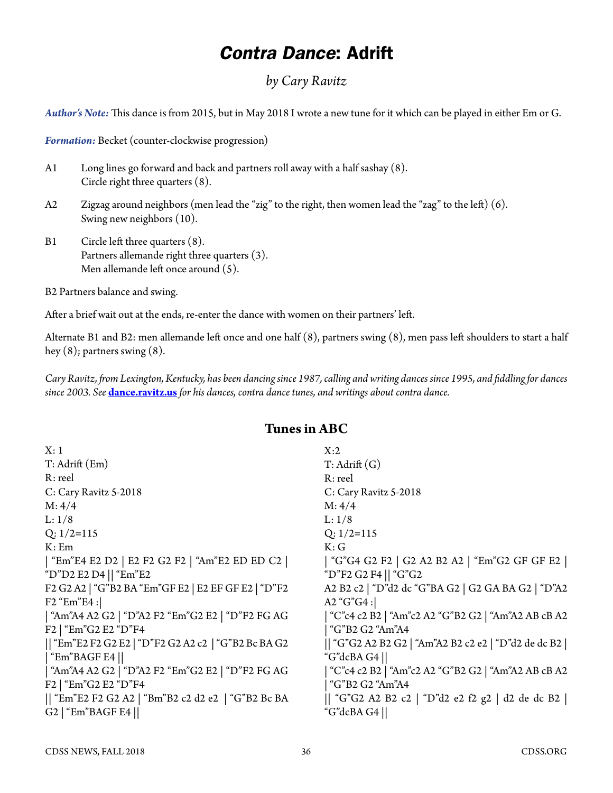# *Contra Dance*: Adrift

### *by Cary Ravitz*

*Author's Note:* This dance is from 2015, but in May 2018 I wrote a new tune for it which can be played in either Em or G.

*Formation:* Becket (counter-clockwise progression)

- A1 Long lines go forward and back and partners roll away with a half sashay (8). Circle right three quarters (8).
- A2 Zigzag around neighbors (men lead the "zig" to the right, then women lead the "zag" to the left) (6). Swing new neighbors (10).
- B1 Circle left three quarters (8). Partners allemande right three quarters (3). Men allemande left once around (5).
- B2 Partners balance and swing.

After a brief wait out at the ends, re-enter the dance with women on their partners' left.

Alternate B1 and B2: men allemande left once and one half (8), partners swing (8), men pass left shoulders to start a half hey (8); partners swing (8).

*Cary Ravitz, from Lexington, Kentucky, has been dancing since 1987, calling and writing dances since 1995, and fiddling for dances since 2003. See* **[dance.ravitz.us](http://www.dance.ravitz.us)** *for his dances, contra dance tunes, and writings about contra dance.*

#### **Tunes in ABC**

| X:1                                                 | X:2                                                |
|-----------------------------------------------------|----------------------------------------------------|
| T: Adrift (Em)                                      | $T:$ Adrift $(G)$                                  |
| R: reel                                             | R: reel                                            |
| C: Cary Ravitz 5-2018                               | C: Cary Ravitz 5-2018                              |
| M: 4/4                                              | M: 4/4                                             |
| L: 1/8                                              | L: 1/8                                             |
| $Q: 1/2=115$                                        | $Q: 1/2=115$                                       |
| K:Em                                                | K:G                                                |
| "Em"E4 E2 D2   E2 F2 G2 F2   "Am"E2 ED ED C2        | "G"G4 G2 F2   G2 A2 B2 A2   "Em"G2 GF GF E2        |
| "D"D2 E2 D4 $\vert\vert$ "Em"E2                     | "D"F2 G2 F4    "G"G2                               |
| F2 G2 A2   "G"B2 BA "Em"GF E2   E2 EF GF E2   "D"F2 | A2 B2 c2   "D"d2 dc "G"BA G2   G2 GA BA G2   "D"A2 |
| $F2$ "Em"E4 :                                       | A2 " $G$ "G4 :                                     |
| "Am"A4 A2 G2   "D"A2 F2 "Em"G2 E2   "D"F2 FG AG     | "C"c4 c2 B2   "Am"c2 A2 "G"B2 G2   "Am"A2 AB cB A2 |
| F2   "Em"G2 E2 "D"F4                                | "G"B2 G2 "Am"A4                                    |
| "Em"E2 F2 G2 E2   "D"F2 G2 A2 c2   "G"B2 Bc BA G2   | "G"G2 A2 B2 G2   "Am"A2 B2 c2 e2   "D"d2 de dc B2  |
| "Em"BAGF E4                                         | "G"dcBA G4                                         |
| "Am"A4 A2 G2   "D"A2 F2 "Em"G2 E2   "D"F2 FG AG     | "C"c4 c2 B2   "Am"c2 A2 "G"B2 G2   "Am"A2 AB cB A2 |
| F2   "Em"G2 E2 "D"F4                                | "G"B2 G2 "Am"A4                                    |
| "Em"E2 F2 G2 A2   "Bm"B2 c2 d2 e2   "G"B2 Bc BA     | "G"G2 A2 B2 c2   "D"d2 e2 f2 g2   d2 de dc B2      |
| G2   "Em"BAGF E4 $  $                               | "G"dcBA G4                                         |